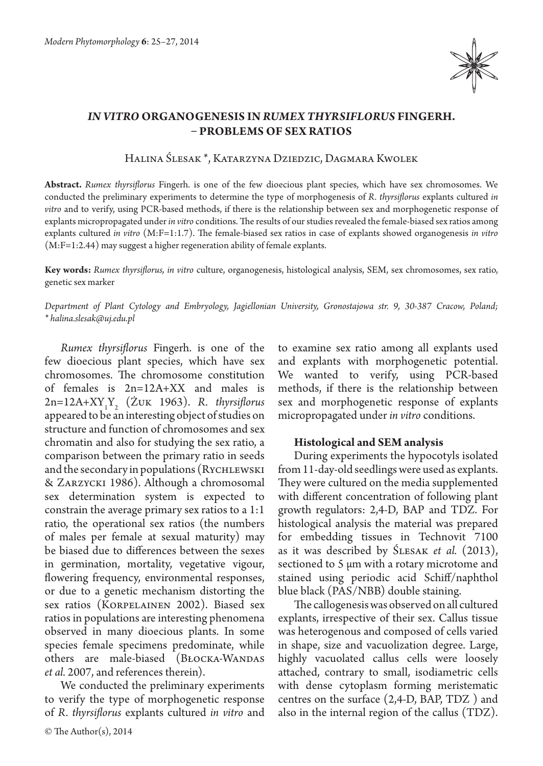

## *IN VITRO* **ORGANOGENESIS IN** *RUMEX THYRSIFLORUS* **FINGERH. – PROBLEMS OF SEX RATIOS**

Halina Ślesak \*, Katarzyna Dziedzic, Dagmara Kwolek

**Abstract.** *Rumex thyrsiflorus* Fingerh. is one of the few dioecious plant species, which have sex chromosomes. We conducted the preliminary experiments to determine the type of morphogenesis of *R. thyrsiflorus* explants cultured *in vitro* and to verify, using PCR-based methods, if there is the relationship between sex and morphogenetic response of explants micropropagated under *in vitro* conditions. The results of our studies revealed the female-biased sex ratios among explants cultured *in vitro* (M:F=1:1.7). The female-biased sex ratios in case of explants showed organogenesis *in vitro*  (M:F=1:2.44) may suggest a higher regeneration ability of female explants.

**Key words:** *Rumex thyrsiflorus, in vitro* culture, organogenesis, histological analysis, SEM, sex chromosomes, sex ratio, genetic sex marker

*Department of Plant Cytology and Embryology, Jagiellonian University, Gronostajowa str. 9, 30-387 Cracow, Poland; \* halina.slesak@uj.edu.pl*

*Rumex thyrsiflorus* Fingerh. is one of the few dioecious plant species, which have sex chromosomes. The chromosome constitution of females is 2n=12A+XX and males is 2n=12A+XY1 Y2 (Żuk 1963). *R. thyrsiflorus*  appeared to be an interesting object of studies on structure and function of chromosomes and sex chromatin and also for studying the sex ratio, a comparison between the primary ratio in seeds and the secondary in populations (RYCHLEWSKI) & Zarzycki 1986). Although a chromosomal sex determination system is expected to constrain the average primary sex ratios to a 1:1 ratio, the operational sex ratios (the numbers of males per female at sexual maturity) may be biased due to differences between the sexes in germination, mortality, vegetative vigour, flowering frequency, environmental responses, or due to a genetic mechanism distorting the sex ratios (Korpelainen 2002). Biased sex ratios in populations are interesting phenomena observed in many dioecious plants. In some species female specimens predominate, while others are male-biased (BŁOCKA-WANDAS *et al.* 2007, and references therein).

We conducted the preliminary experiments to verify the type of morphogenetic response of *R. thyrsiflorus* explants cultured *in vitro* and

© The Author(s), 2014

to examine sex ratio among all explants used and explants with morphogenetic potential. We wanted to verify, using PCR-based methods, if there is the relationship between sex and morphogenetic response of explants micropropagated under *in vitro* conditions.

## **Histological and SEM analysis**

During experiments the hypocotyls isolated from 11-day-old seedlings were used as explants. They were cultured on the media supplemented with different concentration of following plant growth regulators: 2,4-D, BAP and TDZ. For histological analysis the material was prepared for embedding tissues in Technovit 7100 as it was described by Ślesak *et al.* (2013), sectioned to 5 μm with a rotary microtome and stained using periodic acid Schiff/naphthol blue black (PAS/NBB) double staining.

The callogenesis was observed on all cultured explants, irrespective of their sex. Callus tissue was heterogenous and composed of cells varied in shape, size and vacuolization degree. Large, highly vacuolated callus cells were loosely attached, contrary to small, isodiametric cells with dense cytoplasm forming meristematic centres on the surface (2,4-D, BAP, TDZ ) and also in the internal region of the callus (TDZ).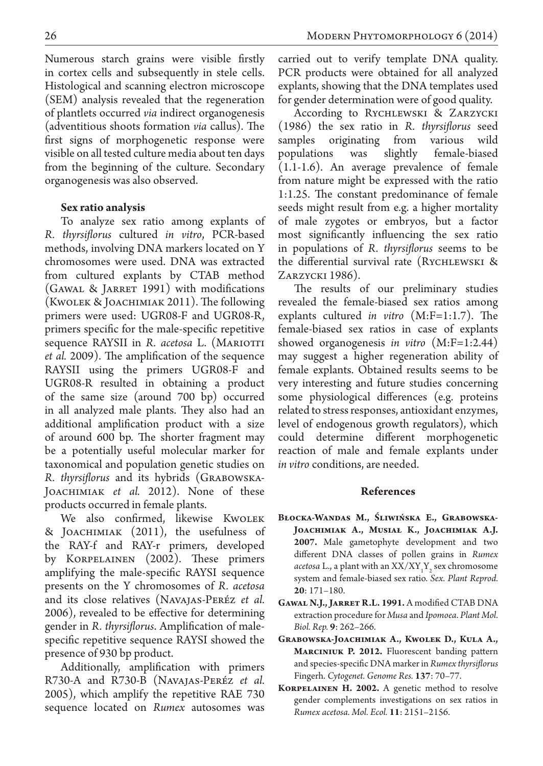Numerous starch grains were visible firstly in cortex cells and subsequently in stele cells. Histological and scanning electron microscope (SEM) analysis revealed that the regeneration of plantlets occurred *via* indirect organogenesis (adventitious shoots formation *via* callus). The first signs of morphogenetic response were visible on all tested culture media about ten days from the beginning of the culture. Secondary organogenesis was also observed.

## **Sex ratio analysis**

To analyze sex ratio among explants of *R. thyrsiflorus* cultured *in vitro*, PCR-based methods, involving DNA markers located on Y chromosomes were used. DNA was extracted from cultured explants by CTAB method (Gawal & Jarret 1991) with modifications (Kwolek & Joachimiak 2011). The following primers were used: UGR08-F and UGR08-R, primers specific for the male-specific repetitive sequence RAYSII in *R. acetosa* L. (MARIOTTI *et al.* 2009). The amplification of the sequence RAYSII using the primers UGR08-F and UGR08-R resulted in obtaining a product of the same size (around 700 bp) occurred in all analyzed male plants. They also had an additional amplification product with a size of around 600 bp. The shorter fragment may be a potentially useful molecular marker for taxonomical and population genetic studies on *R. thyrsiflorus* and its hybrids (Grabowska-JOACHIMIAK *et al.* 2012). None of these products occurred in female plants.

We also confirmed, likewise Kwolek & Joachimiak (2011), the usefulness of the RAY-f and RAY-r primers, developed by Korpelainen (2002). These primers amplifying the male-specific RAYSI sequence presents on the Y chromosomes of *R. acetosa*  and its close relatives (Navajas-Peréz *et al.*  2006), revealed to be effective for determining gender in *R. thyrsiflorus*. Amplification of malespecific repetitive sequence RAYSI showed the presence of 930 bp product.

Additionally, amplification with primers R730-A and R730-B (Navajas-Peréz *et al.*  2005), which amplify the repetitive RAE 730 sequence located on *Rumex* autosomes was carried out to verify template DNA quality. PCR products were obtained for all analyzed explants, showing that the DNA templates used for gender determination were of good quality.

According to Rychlewski & Zarzycki (1986) the sex ratio in *R. thyrsiflorus* seed samples originating from various wild populations was slightly female-biased (1.1-1.6). An average prevalence of female from nature might be expressed with the ratio 1:1.25. The constant predominance of female seeds might result from e.g. a higher mortality of male zygotes or embryos, but a factor most significantly influencing the sex ratio in populations of *R. thyrsiflorus* seems to be the differential survival rate (Rychlewski & Zarzycki 1986).

The results of our preliminary studies revealed the female-biased sex ratios among explants cultured *in vitro* (M:F=1:1.7). The female-biased sex ratios in case of explants showed organogenesis *in vitro* (M:F=1:2.44) may suggest a higher regeneration ability of female explants. Obtained results seems to be very interesting and future studies concerning some physiological differences (e.g. proteins related to stress responses, antioxidant enzymes, level of endogenous growth regulators), which could determine different morphogenetic reaction of male and female explants under *in vitro* conditions, are needed.

## **References**

- **Błocka-Wandas M., Śliwińska E., Grabowska-Joachimiak A., Musiał K., Joachimiak A.J. 2007.** Male gametophyte development and two different DNA classes of pollen grains in *Rumex acetosa* L., a plant with an  $XX/XY_1Y_2$  sex chromosome system and female-biased sex ratio. *Sex. Plant Reprod.*  **20**: 171–180.
- **Gawal N.J., Jarret R.L. 1991.** A modified CTAB DNA extraction procedure for *Musa* and *Ipomoea*. *Plant Mol. Biol. Rep.* **9**: 262–266.
- **Grabowska-Joachimiak A., Kwolek D., Kula A., Marciniuk P. 2012.** Fluorescent banding pattern and species-specific DNA marker in *Rumex thyrsiflorus* Fingerh. *Cytogenet. Genome Res.* **137**: 70–77.
- **Korpelainen H. 2002.** A genetic method to resolve gender complements investigations on sex ratios in *Rumex acetosa. Mol. Ecol.* **11**: 2151–2156.